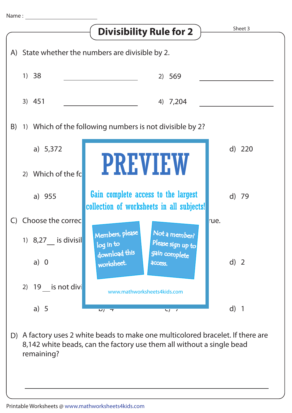

8,142 white beads, can the factory use them all without a single bead remaining?